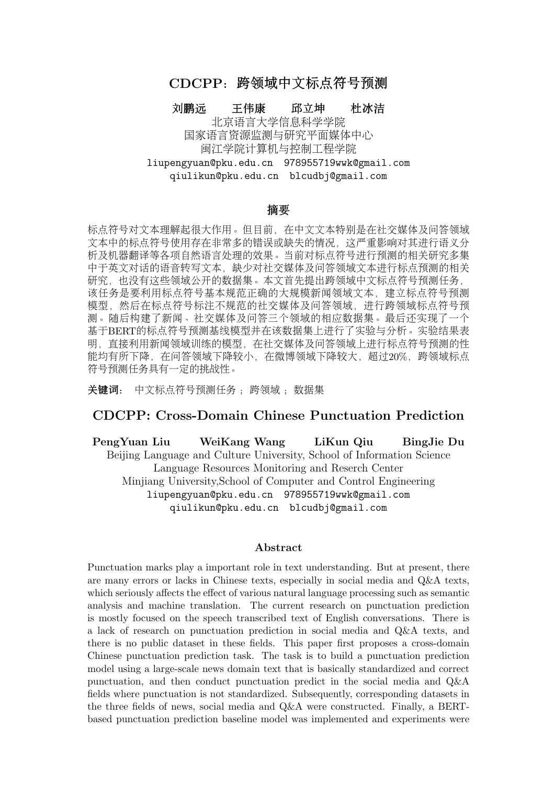# <span id="page-0-0"></span>CDCPP:跨领域中文标点符号预<sup>测</sup>

刘鹏远 王伟康 邱立坤 杜冰洁<br> 北京语言大学信息科学学院

北京语言大学信息科学学院<br><del>西言资源监测与研</del>究平面堪*。* <sup>国</sup>家语言资源监测与研究平面媒体中心 <sup>闽</sup>江学院计算机与控制工程学<sup>院</sup> liupengyuan@pku.edu.cn 978955719wwk@gmail.com qiulikun@pku.edu.cn blcudbj@gmail.com

#### 摘<sup>要</sup>

<sup>标</sup>点符号对文本理解起很大作用。但目前,在中文文本特别是在社交媒体及问答领<sup>域</sup> <sup>文</sup>本中的标点符号使用存在非常多的错误或缺失的情况,这严重影响对其进行语义<sup>分</sup> <sup>析</sup>及机器翻译等各项自然语言处理的效果。当前对标点符号进行预测的相关研究多<sup>集</sup> 中于英文对话的语音转写文本,缺少对社交媒体及问答领域文本进行标点预测的相<sup>关</sup> <sup>研</sup>究,也没有这些领域公开的数据集。本文首先提出跨领域中文标点符号预测任务, 该任务是要利用标点符号基本规范正确的大规模新闻领域文本,建立标点符号预测 模型,然后在标点符号标注不规范的社交媒体及问答领域,进行跨领域标点符号预 <sup>测</sup>。随后构建了新闻、社交媒体及问答三个领域的相应数据集。最后还实现了一个 <sup>基</sup>于BERT的标点符号预测基线模型并在该数据集上进行了实验与分析。实验结果<sup>表</sup> <sup>明</sup>,直接利用新闻领域训练的模型,在社交媒体及问答领域上进行标点符号预测的<sup>性</sup> 能均有所下降, 在问答领域下降被域下降较大, 超过20%, 跨领域标点 符号预测任务具有一定的挑战性。

关键词: 中文标点符号预测任务; 跨领域; 数据集

# CDCPP: Cross-Domain Chinese Punctuation Prediction

PengYuan Liu WeiKang Wang LiKun Qiu BingJie Du Beijing Language and Culture University, School of Information Science Language Resources Monitoring and Reserch Center Minjiang University,School of Computer and Control Engineering liupengyuan@pku.edu.cn 978955719wwk@gmail.com qiulikun@pku.edu.cn blcudbj@gmail.com

#### Abstract

Punctuation marks play a important role in text understanding. But at present, there are many errors or lacks in Chinese texts, especially in social media and Q&A texts, which seriously affects the effect of various natural language processing such as semantic analysis and machine translation. The current research on punctuation prediction is mostly focused on the speech transcribed text of English conversations. There is a lack of research on punctuation prediction in social media and Q&A texts, and there is no public dataset in these fields. This paper first proposes a cross-domain Chinese punctuation prediction task. The task is to build a punctuation prediction model using a large-scale news domain text that is basically standardized and correct punctuation, and then conduct punctuation predict in the social media and Q&A fields where punctuation is not standardized. Subsequently, corresponding datasets in the three fields of news, social media and Q&A were constructed. Finally, a BERTbased punctuation prediction baseline model was implemented and experiments were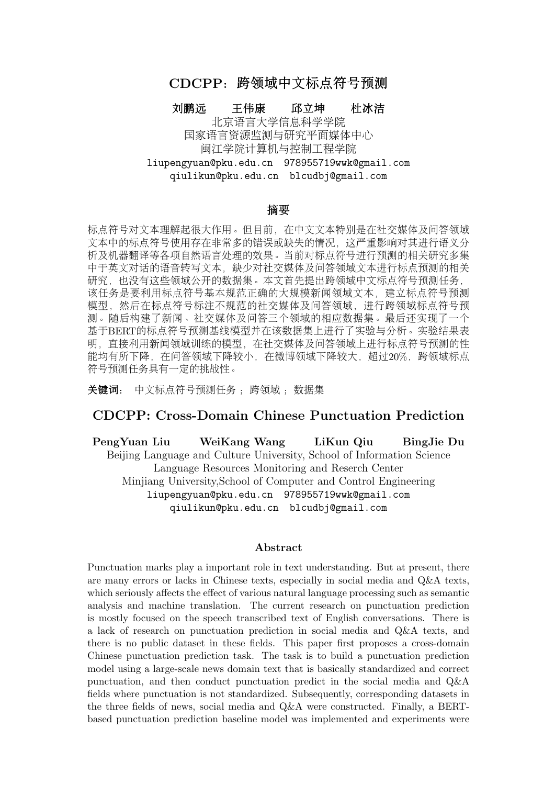performed on this dataset. The experimental results show that directly using the model trained in the news field, the performance of punctuation prediction in the social media and Q&A fields has decreased, and the decrease in the Q&A field is small, and the decrease in the Weibo field is large, exceeding 20% . Cross-domain punctuation prediction task has certain challenges.

Keywords: Chinese Punctuation Prediction Task , Cross-Domain , Dataset

1 引言<br>汉语书面语中,标点符号有着不可或缺的地位。 汉语书面语中,标点符号有着不可或缺的地位。《辞海》<sup>[0](#page-1-0)</sup>中把标点解释为"书面语里用来<br>停顿,语调以及语词的性质和作用的符号,是书面语的有机组成部分"。它可以帮助人们 表示停顿、语调以及语词的性质和作用的符号,是书面语的有机组成部分"。它可以帮助人们<br>确切地表达用相感情和理解书面语言。近年来,随差社交棋体领域(加微博)及问答领域(加 确切地表达思想感情和理解书面语言。近年来,随着社交媒体领域(如微博)及问答领域(如 百度知道)及应用(如问答机器人)的活跃兴起,对社交媒体及问答领域文本的处理变得愈来 <sup>愈</sup>重要。但这两类文本常常出现标点符号使用错误、缺失[甚](#page-1-2)至完全不使用标点符号的情况。 <sup>图</sup>1是标点符号标注错误及正确实例对语义分析[1](#page-1-1)及机器翻译2影响的对比。其中:c及c'分别为<sup>百</sup> <sup>度</sup>知道[3](#page-1-3)中的实例及人工对其进行标点重新标注后的文本;e及e'是分别对c及c'用谷歌翻译的<sup>结</sup> 果; s及s'是对两个中文文本分别利用LTP平台进行语义依存标注的结果(限于篇幅, 仅截取了 <sup>部</sup>分)。对比英文译文,可见标点符号错误不但引起局部翻译错误,也影响整句的翻译质量。 <sup>对</sup>比语义依存自动分析的结果,出现标点错误的地方,均导致自动语义分析标注的结果产生 <sup>错</sup>误。我们还随机抽取了新浪微博文本100条并对其中的标点符号进行了人工排查,发现其<sup>中</sup> <sup>有</sup>82条标点符号缺失或使用错误。这将对NLP任务的处理如句法分析、语义分析及机器翻译等 <sup>各</sup>项自然语言处理任务的效果带来产生很大影响。为社交媒体及问答等领域中的文本标注正<sup>确</sup> <sup>的</sup>标点符号,具有较高的意义和应用价值。

标点符号预测 (Punctuation Prediction, PP) 或标点符号恢复 (Punctuation Restoration,PR)指利用计算机对无标点文本进行标点预测,使得预测之后的文本符合自身语义和<sup>标</sup> <sup>点</sup>使用规范。因为语音识别出的序列中没有标点符号,故而标点符号预测相关研究工作集中<sup>在</sup> <sup>语</sup>音识别领域,主要是面向对话领域的语音转写文本进行标点符号预测[\(Beeferman et al., 1998;](#page-0-0) [Liu et al., 2006;](#page-0-0) [Lu and Ng, 2010;](#page-0-0) [Peitz et al., 2011;](#page-0-0) Tilk and Alumäe, 2015)。目前常用公开的 数据集为IWSLT[\(Federico et al., 2012\)](#page-0-0),是^ 对语音领域的英文文本。迄今为止,尚无公开的 <sup>社</sup>交媒体领域相关数据集,这对在该领域进行标点符号预测进行研究产生很大限制。由于社<sup>交</sup> <sup>媒</sup>体及问答领域文本中标点符号缺失或使用错误较多,直接利用社交媒体及问答领域文本进<sup>行</sup> 模型训练再进行自动标点符号预测意义不大,而人工标注一个大规模社交媒体及问答领域标<sup>点</sup> 符号预测数据集又非常费时费力。与此同时,新闻领域中的文本,标点符号用法基本规范,<sup>可</sup> 认为是标点符号使用正确的实例, 建立PP/PR 任务的数据集较为容易, 但面向新闻领域文本 <sup>进</sup>行标点符号预测,应用价值较低。

<sup>基</sup>于以上现状,本文提出跨领域中文标点符号预测任务,该任务是要利用标点符号基本<sup>规</sup> <sup>范</sup>正确的大规模新闻领域文本,建立标点符号预测模型,然后在标点符号标注不规范的社交<sup>媒</sup> <sup>体</sup>及问答领域,进行跨领域标点符号预测。本文构建了新闻、社交媒体及问答三个领域的数<sup>据</sup> <sup>集</sup>[4](#page-1-4)。在新闻领域,提供了测试集,共10000条。新闻领域的文本较容易获得,且标点符号使用 <sup>非</sup>常规范,因此在大规模新闻文本上进行训练并进行标点符号预测,可视为各种方法在其他领 <sup>域</sup>预测性能的上限(upper bound)。在社交媒体和问答领域,本文分别提供了人工标注的<sup>测</sup> 试集各1200条。除测试集外,本任务没有提供(但不禁止使用)社交媒体和问答领域这两个目 <sup>标</sup>领域内的任何数据。

<sup>为</sup>对本任务及数据集进行初步评估,鉴于近年来预训练语言模型BRET(Bidirectional Encoder Representation from Transformers)[\(Devlin et al., 2018\)](#page-0-0)在NLP领域各项任务中的优<sup>良</sup>

<span id="page-1-0"></span> $^{0}$ http://chlb.cishu.com.cn/

<span id="page-1-2"></span> ${}^{2}$ 采用谷歌翻译:https://translate.google.cn<br> ${}^{3}$ http://zhidao.baidu.com

<sup>c</sup> <sup>2020</sup> <sup>中</sup>国计算语言学大<sup>会</sup>

<sup>根</sup>据《Creative Commons Attribution 4.0 International License》许可出版

<span id="page-1-1"></span><sup>&</sup>lt;sup>1</sup>采用哈工大语言技术LTP平台:http://ltp.ai/index.html<br><sup>2</sup>采用谷歌翻译:https://translate.google.cn

<span id="page-1-3"></span><sup>3</sup>http://zhidao.baidu.com

<span id="page-1-4"></span><sup>4</sup>https://github.com/NLPBLCU/Cross-Domain-Chinese-Punctuation-Prediction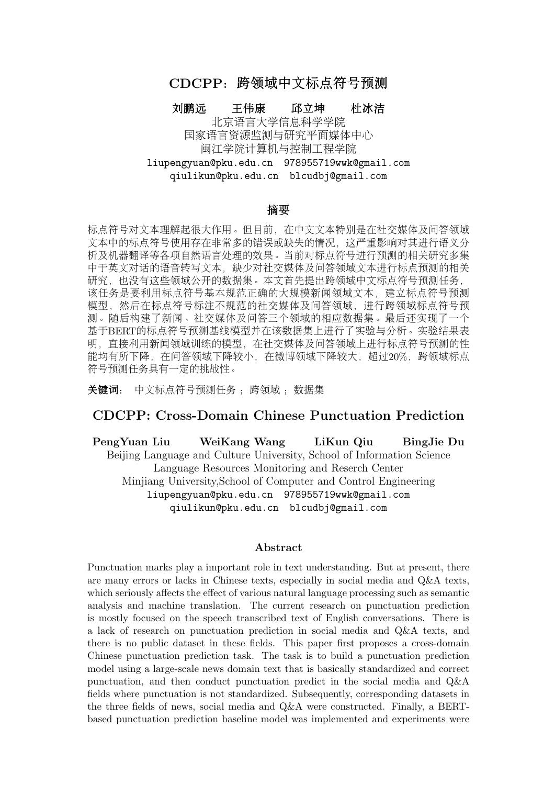

Figure 1: <sup>标</sup>点符号标注错误对依存语义分析及机器翻译结果的影响。其中c及c'分别为<sup>百</sup> <sup>度</sup>知道中的实例及人工对其进行标点重新标注后的文本。e及e'是分别对c及c'用谷歌翻译的<sup>结</sup> <sup>果</sup>。s及s'是分别对c及c'利用LTP平台进行语义依存标注的结果,限于篇幅,仅截取了部分。

<sup>表</sup>现,我们实现了一个基于BERT的序列标注模型作为数据集的基线模型,同时还使用了Focal Loss[\(Lin et al., 2017\)](#page-0-0)作为训练过程中的损失函数来缓解类别不平衡问题。在本数据集上的实验 <sup>结</sup>果表明,直接利用新闻领域训练的模型,在社交媒体及问答领域上进行标点符号预测的性<sup>能</sup> <sup>均</sup>有有所下降,特别是在微博领域下降较大,跨领域标点符号预测任务具有一定的挑战性。

# 2 数据集构建

# 2.1 <sup>数</sup>据准备

<sup>新</sup>闻领域选择人民日报2018年全年语料。该语料共574332条文本。我们首先按照本文标<sup>点</sup> 符号标签表(见第三小节中的表3)对该文本进行处理: 去除无关的一些噪音标点和符号, 对 <sup>标</sup>点进行全半角和重复的符号归一化处理,再将冒号替换为逗号,将感叹号和省略号替换为<sup>句</sup> <sup>号</sup>。然后,在该语料中随机抽取10000条作为测试集,另随机抽取100000条作为训练集。

<sup>社</sup>交媒体领域选择新浪微博[5](#page-2-0),新浪微博是目前中文影响力最大的社交媒体,基于新浪微 博进行自然语言处理的研究非常广泛(谢丽星, 周明, 孙茂松[, 2012;](#page-0-0) 古万荣, 董守斌, 曾[之](#page-0-0) 肇,何锦潮,刘崇[, 2016;](#page-0-0) 贺敏,刘玮,刘悦,王丽宏,白硕,程学旗[, 2017;](#page-0-0) [王](#page-0-0)志宏,过弋, [2019\)](#page-0-0)。本文随机爬取微博语料共120250条,语料经数据预处理之后统计得平均文本长度(含<sup>标</sup> <sup>点</sup>)为66.41,标准差为55.64,分布不太均衡,为考察不同文本长度对模型的影响,我们随机<sup>选</sup> 取文本长度在65-67之间(中等长度文本)及文本长度在100-110之间(长文本)的两类, 去掉 其中所有标点及空格,作为社交媒体领域测试集待标注语料,并分别记为"微博(中)及微博 (长)。

问答领域语料来源于中文问答匹配数据集LCOMC[\(Liu et al., 2018\)](#page-0-0), 该数据集被广泛用 于中文问答特别是问句匹配 (question matching) 中。该数据集中的语料来源于百度知道, <sup>共</sup>260068对句子,经过去重后,统计得平均文本长度为10.73,标准差为4.0,平均文本长度较微 <sup>博</sup>更短,文本长度分布也相对均衡,因此考察不同文本长度对模型的影响意义较小。通过对<sup>语</sup> 料的观察我们发现, 文本长度在15以内的文本中, 标点符号相对较少, 因此我们随机抽取文本 <sup>长</sup>度在15以上的文本,去掉原语料中所有标点及空格,作为问答领域测试集待标注语料。

# 2.2 标注规范

<sup>标</sup>注规范采用2011年由中国国家标准化管理委员会发布,2012年实施的《标点符号用法》 (以下简称《用法》)文件[6](#page-2-1)中的标准。《用法》将标点符号分为点号和标号。其中点号的作用 <sup>是</sup>点断,主要表示停顿和语气。而标号的作用是标示某些成分的特定性质和作用。本次主要<sup>标</sup> <sup>注</sup>点号,即句号、问号、叹号、逗号、顿号、分号、冒号。在这些点号中,叹号主要用在句<sup>末</sup> <sup>表</sup>达情感,句子的情感时常因人而异,有时可用句号替代。冒号用于句中,表示语段中提示<sup>下</sup>

<span id="page-2-0"></span><sup>5</sup>http://weibo.com

<span id="page-2-1"></span> $6$ http://openstd.samr.gov.cn/bzgk/gb/newGbInfo?hcno=22EA6D162E4110E752259661E1A0D0A8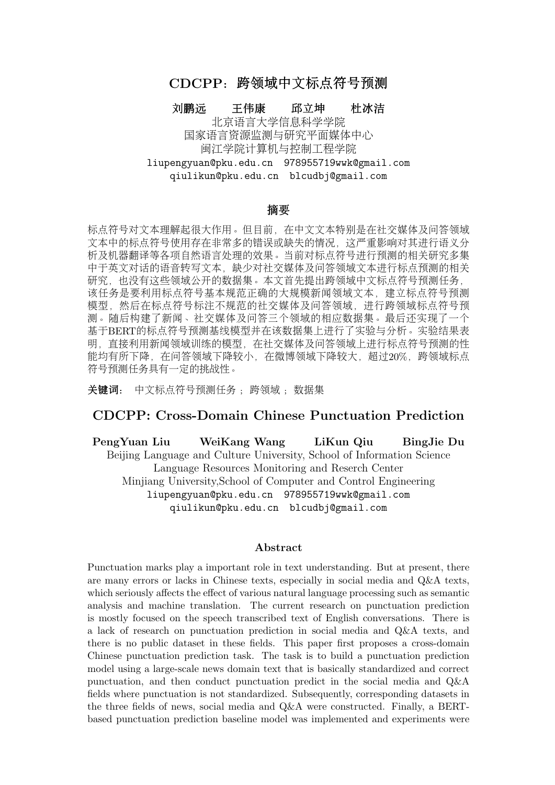<sup>文</sup>或总结上文的停顿,其部分功能与逗号类似。由本文任务的目的出发,我们选择最终标注<sup>的</sup> 标点符号只有五种: 逗号、顿号、分号、句号、问号。

#### 2.3 <sup>标</sup>注过程

<sup>整</sup>个标注由3名语言学在读硕士生作为标注员共同完成。首先是研读规范并进行试标注,<sup>对</sup> 不一致的地方进行讨论以及规范参考。待3名标注员均熟悉规范和标注后再进行正式标注。

<sup>对</sup>给定的问答领域及微博领域的测试集待标注语料,由两名标注员分别进行标注。在标<sup>注</sup> <sup>过</sup>程中,如果遇到难以理解的句子,由于很难对其进行正确的标点符号标注,标注员就直接抛 弃该条文本。语料中出现的其他非标点符号,如表情符号等手动删除。对新浪微博语料,我<sup>们</sup> <sup>控</sup>制标注每种文本长度的语料各600条,共1200条。对百度知道语料,我们控制标注共1200条。 <sup>标</sup>注完成后,由第三名标注员进行审核。审核的标准是排除标点符号使用不符合《用法》的<sup>原</sup> <sup>则</sup>性错误。审核后的文本,如2名标注员标注结果一致,则作为金标准文本保留,对于标注不一 致的文本,由第三名标注员进行仲裁。

由于《用法》并没有对标点符号进行严格的标注规定,特别是句中的成分之间是否停顿<sup>因</sup> 使用场景、使用习惯等存在差异,如:

a.突击停产后, 企业为了抢回时间满足订单生产, 往往会匆忙复工。这一停一开, 可能危 机四伏。

b.突击停产后,企业为了抢回时间满足订单生产往往会匆忙复工,这一停一开可能危机<sup>四</sup> 伏。

<sup>两</sup>段文本的标注都不存在原则性错误,只是各人语感不同,语块切分的大小不同,这样, <sup>对</sup>同一文本进行标点符号标注,可能会出现多种正确的标注。因此,在仲裁时,首先由第三<sup>名</sup> <sup>标</sup>注员保留仲裁得到的标注结果,作为金标准;然后,三名标注员对本条标注的不同结果进<sup>行</sup> 讨论,对三人加以讨论后确定符合《用法》的结果也加以保留,作为可选标准文本,附加在金 <sup>标</sup>准文本后,以空格分开。

#### 2.4 统计分析

<sup>最</sup>终形成的数据集共包含问答领域、微博中等及微博长文本数据各1200、600及600条。 由于每条可能包含有多个正确的标注结果,实际共包含问答领域、微博(中)及微博(长) <sup>数</sup>据各1328、803及779句。问答领域、微博(中)及微博(长)数据集的标注一致率分别 为:  $0.9751, 0.9572\%$  $0.9751, 0.9572\%$  $0.9751, 0.9572\%$  $0.9731^7$ 。

<sup>数</sup>据集的基本统计情况及标点符号的分布情况分别见表1及表2。此处仅对金标准文本而<sup>没</sup> <sup>有</sup>将可选标准文本包含在内进行统计。实际上,由于备选的正确标注文本不多,因此在平均<sup>长</sup> 度、平均标点个数文体点个数之比及标点符号分布几个方面,所得到的的结果 <sup>差</sup>异不大。

| 捉隼      | 数<br>条 <br>Ħ | 平均长度<br>字<br>条 | 个数,<br>平均标点<br>条 | ′标点数<br>可长/* |
|---------|--------------|----------------|------------------|--------------|
| 新闻      | 10000        | 70.16          | 5.61             | $12.51\,$    |
| 问答      | 1200         | 26.28          | 2.64             | 9.95         |
| 微博<br>中 | 600          | 58.14          | 6.18             | 9.41         |
| 微博      | 600          | 94.14          | 9.04             | 10.41        |
|         |              |                |                  |              |

Table 1: 数据集的基本统计情况

<sup>从</sup>表1可知,微博(长)的平均长度最长,包含标点个数最多,问答领域的平均文本长<sup>最</sup> <sup>短</sup>,包含标点个数最少。从平均文本长与平均标点个数之比可知,微博(中)的标点符号"<sup>密</sup> <sup>度</sup>"最大,平均9.41个字就有一个标点,而新闻领域标点符号"密度"最小,平均12.51个字才有<sup>一</sup> 个标点。

<sup>从</sup>表2可知,各领域中,逗号都是最常用标点符号,分号都是最不常用的标点符号。根<sup>据</sup> 《用法》的规定,顿号常用于重复的词语或成分之间,而分号则多用于并列的分句之间,因此 <sup>在</sup>层级关系上分号的层级要大于顿号,因此顿号的使用比分号多。在问答领域,由于文本普<sup>遍</sup> <sup>较</sup>短,没有出现分号。问号与句号在各领域中使用的情况比较复杂,新闻领域中问号比例较<sup>低</sup>

<span id="page-3-0"></span><sup>7</sup>计算标注一致率时包含标点符号类型的一致和断句的一致,所以五个标点符号以及空符号都包含在内。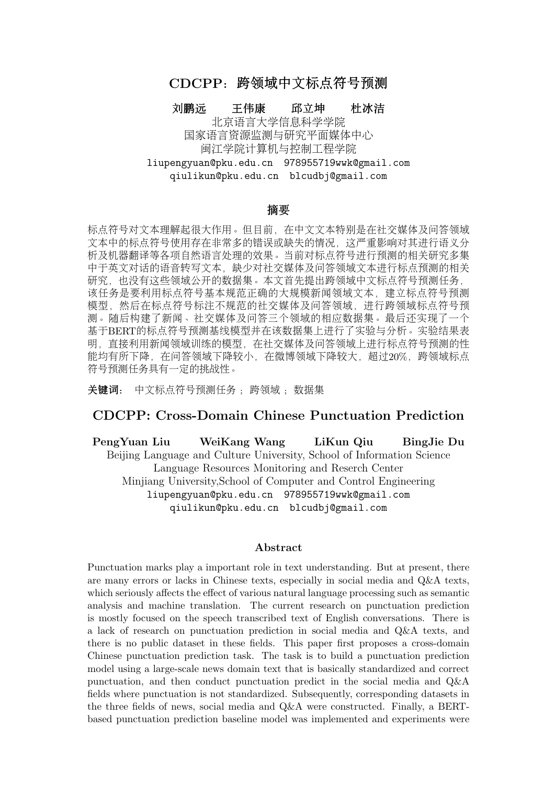| 标点符号 | 新闻          | 问答    | 微博<br>$(\Box \Box)$ | 微博<br>(长) |
|------|-------------|-------|---------------------|-----------|
| 逗号   | 55.13       | 49.13 | 52.62               | 55.01     |
| 问号   | 0.61        | 23.48 | 8.22                | 23.73     |
| 句号   | 26.06 25.21 |       | 25.99               | 15.37     |
| 顿号   | 17.00       | 2.16  | 12.83               | 4.96      |
| 分号   | 1.19        | 0.00  | 0.32                | 0.91      |

Table 2: 数据集中各种标点分布情况(%)

符合新闻文体特点,这符合我们的认知。在问答领域,提问较多,因此问号的比例总体高于微 <sup>博</sup>领域。句号在新闻、问答及微博(中)的分布相对接近,且在新闻中的使用相对更多。

<sup>针</sup>对微博长句种问号使用比句号使用更频繁的现象,我们进一步分析文本的内容,发现微 博长句中存在不少连续发问的现象,如:

"渣完基三的直接后果就是,为毛我没有轻功?为毛我没有内力?为毛我只是想去个我想<sup>个</sup> <sup>地</sup>方要做交通工具神行不了?为毛下个楼还要等电梯或走楼梯?不能轻功跳过去?桑不起。<sup>于</sup> 是我要睡觉了,梦里好好调戏内功[8](#page-4-0)。"

#### 3 任务

### 3.1 形式<sup>化</sup>

标点符号预测可视为一个序列标注任务,即给定一个文本输入序列: $X = \{x_1, x_2, x_i, \ldots x_n\}$ 要得到一个标点符号标答序列 $V = f_{2k-2k} = u_1 \cdot \lambda$ ,横刑所需要预测的标签焦合加下责所 ,需要得到一个标点符号标签序列 $Y = \{y_1, y_2, y_i, \ldots y_n\}$ 。模型所需要预测的标签集合如下表所<br>示。标签焦合中,0为无标点(space),1为逗号,2为句号,3为问号,4为顿号,5为分号。 <sup>示</sup>。标签集合中,0为无标点(space),1为逗号,2为句号,3为问号,4为顿号,5为分号。

| 示       | 53. |   |
|---------|-----|---|
| space   |     |   |
|         |     |   |
| $\circ$ |     | h |

Table 3: <sup>标</sup>点标签<sup>表</sup>

### 3.2 设置

<sup>严</sup>格设置。仅以数据集每个条目的金标准文本作为正确的标注结果,即每个待预测文本, <sup>其</sup>正确的标点符号唯一。此种设置下,各数据集分别命名为:问答-严格,微博(中)-严格, 微博(长)-严格。

宽松设置。将数据集中每个条目的所有标注文本作为正确的标注结果,即包含金标准文 <sup>本</sup>也包含可选标准文本,对对每个待遇测文本,部分标注的结果可以不唯一,但都视为正确<sup>的</sup> <sup>标</sup>注结果。此种设置下,各数据集分别命名为:问答-宽松,微博(中)-宽松,微博(长)-<sup>宽</sup> 松。

此外,由于数据集中每个条目均可以由多句组成,因此在本文的标点标签体系中,句中<sup>标</sup> <sup>点</sup>标签有6种可能(含无标点),但句末标点仅有两种可能:问号/句号,模型会相对容易地<sup>学</sup> 到句末标点的信息。考虑到这个影响, ^ 对句末, 使用以下两个设置:

<sup>1</sup>)含句末。即在测试时,将文本中所有标点符号考虑在内(包含句末标点)。

<sup>2</sup>)无句末。即在测试时,不将文本中的句末标点考虑在内。

# <sup>4</sup> <sup>实</sup>验

# 4.1 模<sup>型</sup>

<sup>基</sup>于预训练语言模型BRET的方法在NLP领域各项任务上均取得了很好的性能,文本也<sup>基</sup> 干BERT建立了一个简单的标点符号预测基线模型。如下图所示,模型输入一段文本, $X =$  $\frac{\{x_1, x_2, x_i, \ldots x_n\}, \text{BERT首先把模型的输入转化为词嵌入矩阵,再经过一个线性变换层将最后$ 

<span id="page-4-0"></span><sup>8</sup>选自微博(长)标准数据集。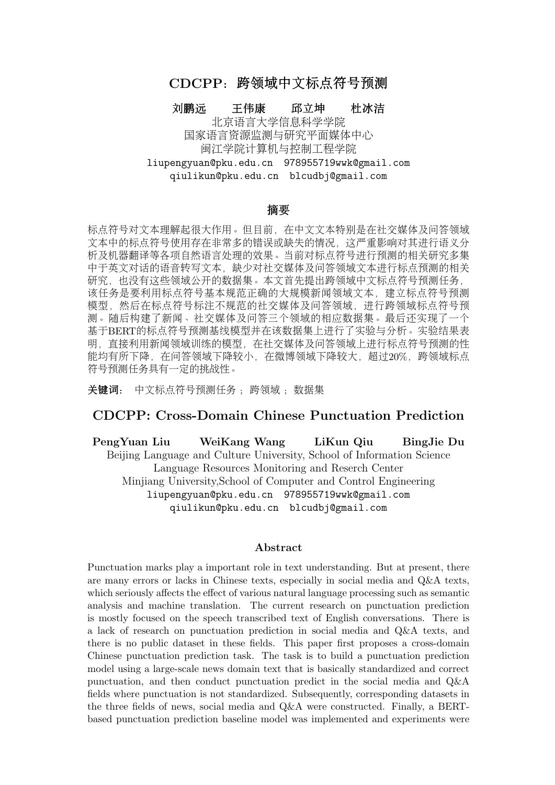一维的词嵌入维度转换为标签,最后经过softmax层输出序列Y, $Y = \{y_1, y_2, y_i, \ldots y_n\}$ ,代表 每个字后面的标签序列。

从本文第2节表2可知,本数据集中标点符号的分布很不平衡,实际上,文本中的标点符号 数量比其中字的数量少得多,因此上述模型输出大部分的标签都是无标点的"0"标签,直接采 用交叉熵作为损失函数会导致模型在训练时更倾向于输出无标点类别,使得模型学习不到足够 <sup>的</sup>标点特征。为解决这个问题,我们将原来的交叉熵损失改为现在的Focal Loss损失[\(Lin et al.,](#page-0-0) [2017\)](#page-0-0),该损失函数调整了样本在训练中所占的权重。原本的Focal Loss是在二分类中实现的, <sup>这</sup>里将它扩展到多分类问题当中。原Focal Loss <sup>公</sup>式如下:

$$
L_{fl} = \begin{cases} -\alpha (1 - y')^{\gamma} \log y' & , y = 1 \\ -(1 - \alpha) y'^{\gamma} \log(1 - y') & , y = 0 \end{cases}
$$
(1)

<sup>其</sup>中α和γ是两个可以调节的超参数。 我们将二分类的Focal Loss拓展到多分类中:

$$
L_{fl} = -\alpha_i (1 - y_i)^\gamma \log(y^i) \tag{2}
$$

其中, $\alpha_i$ 代表第i个标签的调节因子, $y_i$ 代表第i个标签的预测概率。

#### 4.2 参数设置

<sup>本</sup>文使用的BERT模型是Google公开的bert-base[9](#page-5-0),模型是由12层的Transformer encoder预 <sup>训</sup>练而成,自注意力头数为12,隐藏层维度为768,总参数量为110MB。训练时,我们设置<sup>的</sup> 学习率大小是5e-5, 批大小是64, Dropout设置为0.25, 训练轮数为15轮。

# 4.3 评价指标

<sup>在</sup>本文的中文标点符号预测任务中,使用分类问题的评价指标精确度P(Precision)、<sup>召</sup> 回率R (Recall) 和F1 值来评价模型整体性能, 以F1 值作为主要评价指标, 具体公式如下图所 示:

$$
F_1 = \frac{2 * Precision * Recall}{Precision + Recall}
$$
\n(3)

#### 4.4 <sup>实</sup>验结<sup>果</sup>

<sup>首</sup>先利用在本文第2小节中整理好的人民日报训练语料进行训练。然后,在本文建立数据<sup>集</sup> <sup>的</sup>问答及微博领域下进行测试。实验结果详见表4。表4列出了本文各领域数据集在本文任务<sup>设</sup> <sup>置</sup>下的模型性能。基线模型在新闻领域中的性能并无宽松/严格设置,列在最后一行。

<sup>可</sup>以发现模型在问答领域的性能较好,明显高于微博领域的性能,因为问答领域文本<sup>较</sup> 短, 微博领域的文本更不规范,因此这也比较符合实际情况与我们的预期。同时, 宽松设置均 优于严格设置,含句末设置均优于不含句末设置。

<sup>图</sup>2(a)是对比新闻领域,严格-宽松两种任务设置下性能下降的柱状图。可以看出,对比 <sup>新</sup>闻领域,基线模型迁移到问答及微博领域后,标点符号预测的性能在所有设置下,均有不<sup>同</sup> 程度的下降,微博领域的下降更多,微博(中)下降的幅度大于微博(长),微博(中)-严格 下降的最为明显,超过了20%。跨领域标点标注任务具有一定挑战性,模型性能还有较大提升 空间。

图2(b)是无句末设置比含句末设置时模型性能下降的柱状图。在所有领域,无句末均较 <sup>含</sup>句末均有有不同程度下降,其中问答领域下降幅度最高(近7%),微博次之,新闻领域下<sup>降</sup> 最少。问答领域下降幅度最高的原因在于,问答领域中的问句(对应句末问号)或答句(对应 <sup>句</sup>末句号),比较典型,模型相对容易判断。

<span id="page-5-0"></span><sup>9</sup>https://github.com/google-research/bert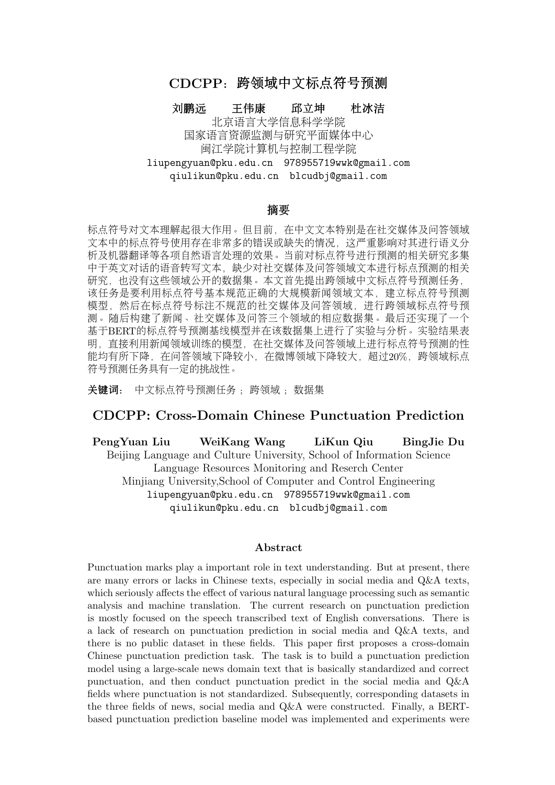| 数据集           | P      |        | R      |        | $F_1$  |        |
|---------------|--------|--------|--------|--------|--------|--------|
|               | 含句末    | 无句末    | 含句末    | 无句末    | 含句末    | 无句末    |
| 问答-严格         | 0.8223 | 0.7483 | 0.8348 | 0.7697 | 0.8285 | 0.7589 |
| (中)-严格<br>微博  | 0.6799 | 0.6295 | 0.6661 | 0.6138 | 0.6729 | 0.6216 |
| (长)-严格<br>微博  | 0.6823 | 0.6478 | 0.6889 | 0.6543 | 0.6856 | 0.6510 |
| 问答-宽松         | 0.8350 | 0.7603 | 0.8474 | 0.7884 | 0.8412 | 0.7741 |
| (中)-宽松<br>微博  | 0.6981 | 0.6509 | 0.6935 | 0.6447 | 0.6958 | 0.6478 |
| (长) -宽松<br>微博 | 0.6930 | 0.6592 | 0.7029 | 0.6695 | 0.6979 | 0.6643 |
| 新闻            | 0.8834 | 0.8647 | 0.8794 | 0.8600 | 0.8814 | 0.8624 |

Table 4: <sup>基</sup>线模型在本文任务设置下各领域数据集上的性能结<sup>果</sup>



<sup>(</sup>a) <sup>各</sup>领域较新闻领域性能下降柱状<sup>图</sup> (b) <sup>无</sup>句末比含句末性能下降柱状<sup>图</sup>





Figure 2: <sup>各</sup>模型性能下降柱状<sup>图</sup>

# 5 错误分析与讨论

标点符号的预测错误可分为三种类型: 1)漏标, 即本应有标点的地方, 预测为无标 <sup>点</sup>;2)多标,即本应没有标点的地方,预测出现标点;3)错标,即预测的标点类型与数<sup>据</sup> 集人工标注的标点不一致。前两种类型是断句错误,最后一种类型是标点使用错误。表5为两 <sup>个</sup>领域的标注错误类型分布情况[10](#page-6-0)。可以看出,严格和宽松两个领域错误类型分布差别不大。 <sup>问</sup>答领域的漏标错误要明显高于微博领域,相反多标的情况要少于微博领域。受到领域特征 <sup>的</sup>影响,问答领域的文本长度普遍较短,而基线模型是在新闻领域中训练的,新闻领域中<sup>平</sup> 均12.51个字才有一个标点 (见2.4节表1), 因此, 问答领域中的文本, 模型在预测时可能会完 <sup>全</sup>不标注。因此问答领域的漏标情况会比微博领域更多。在微博领域中,多标的错误要比其<sup>他</sup> <sup>两</sup>种错误要多,这是因为微博领域的文本更加口语化,通常还会有一些专有名词、缩略语、<sup>新</sup> <sup>词</sup>新语等,因此在自动标注的过程中,会出现固定搭配之间被插入标点符号的情况,最终导致 微博领域的多标错误所占比例较大。

以下是不同领域中的错误案例,各种类型各三组文本,每组文本包含两条文本,第一条<sup>文</sup> <sup>本</sup>为自动标注得到的错句,句前有错号,后一句为标准数据集中的正确文本,句前有对号。<sup>三</sup> 组文本分别来自问答、微博(中)及微博(长):

<span id="page-6-0"></span><sup>10</sup>需要说明的是,由于标点使用不具有唯一性,所以实验得出的错误文本只是相对于标准数据集而言的,机器<sup>标</sup> <sup>注</sup>的某些文本虽然不在标准数据集中但其标注也可能是正确的,但这种情况非常少。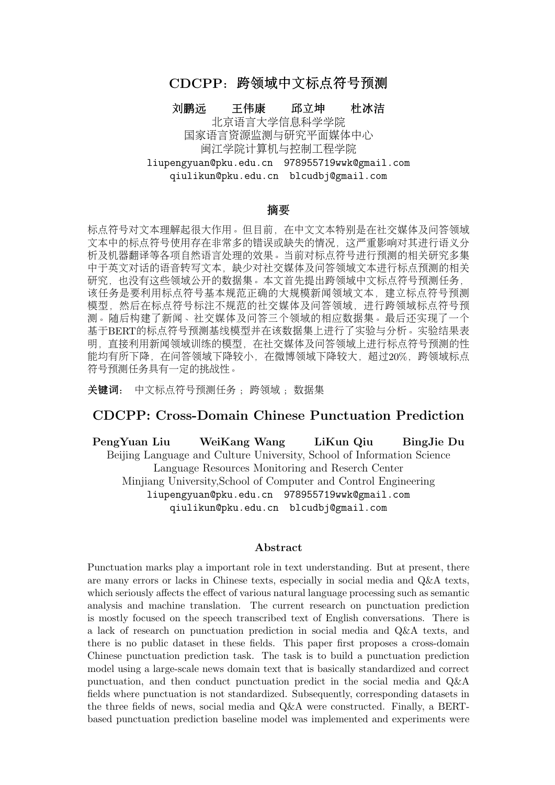| 数据集          | 模型预测  |       |       |  |
|--------------|-------|-------|-------|--|
|              | 漏标    | 多标    | 错标    |  |
| 问答-严格        | 39.02 | 24.97 | 36.00 |  |
| 微博(中)-严格     | 25.73 | 44.03 | 30.23 |  |
| 微博(长)-严格     | 29.74 | 42.74 | 27.79 |  |
| 问答-宽松        | 39.16 | 24.43 | 36.41 |  |
| (中)-竈松<br>微博 | 26.25 | 42.97 | 30.79 |  |
| 微博(长)-宽松     | 29 46 | 42.35 | 28.19 |  |

Table 5: <sup>基</sup>线模型预测错误类型分布及原始标注错误类型分布(%)。由于句末标点只影响<sup>错</sup> <sup>标</sup>的分布,且对整体预测错误的分布影响较小,此处没有列出不包含句末标点的情况。

#### a.漏标

**入**巴金的激流三部曲爱情三部曲分别是什么?

✔ 巴金的激流三部曲、爱情三部曲分别是什么?

 $\bm{\mathsf{X}}$ 余华、马原、李耳格非不敢和他们谈文学,但是私下找余华老师看了下牙,他说牙龈是 <sup>可</sup>以自我恢复的,解我多年心头大惑。

✔余华、马原、李耳、格非,不敢和他们谈文学,但是私下找余华老师看了下牙,他说牙 <sup>龈</sup>是可以[自](#page-7-0)我恢复的,解我多年心头大惑。

**X**...<sup>11</sup>会上,李公平局长强调,要严肃工作纪律,切实加强对填报志愿工作的督查和管<br>确保会年网上填报主原工作平稳有序顺利进行。 <sup>理</sup>,确保今年网上填报志愿工作平稳有序顺利进行。

✔...会上,李公平局长强调,要严肃工作纪律,切实加强对填报志愿工作的督查和管理, <sup>确</sup>保今年网上填报志愿工作平稳、有序、顺利进行。

### b.多<sup>标</sup>

**入**可以修改邮箱, 请您提供其他邮箱, 谢谢, 您了。

✔ 可以修改邮箱, 请您提供其他邮箱, 谢谢您了。

X光明能挺住吗?带不带?这么恐吓老百姓的?这个是不是夸张了点啊?...

✔光明能挺住吗? 带不带这么恐吓老百姓的? 这个是不是夸张了点啊? ...

**X**...人是衰,到了何种境界才能发生百年难遇的事? 思绪凌乱了。

✔...人是衰到了何种境界才能发生百年难遇的事? 思绪凌乱了。

#### c.错标

**X**八年级上学期期末考试, 地理考不考下学期的内容。

√八年级上学期期末考试, 地理考不考下学期的内容?

**X**体育满分,是我的体质变好了,能跑了,还是上大学的女生都颓废了,我五十米第一, <sup>排</sup>球第一。这是怎么了?我神灵附体了。

√体育满分。是我的体质变好了,能跑了,还是上大学的女生都颓废了?我五十米第一, <sup>排</sup>球第一,这是怎么了?我神灵附体了?

入犯了一个错,需要另外十个错误来掩盖啊,他们小区的监控镜头能证明他在家睡觉,还 <sup>有</sup>这样负责的物管啊。...

√犯了一个错,需要另外十个错误来掩盖啊。他们小区的监控镜头能证明他在家睡觉?还 有这样负责的物管啊?...

<sup>综</sup>合两个领域的错误案例发现,在断句错误中,漏标常见于文本中的并列成分之间,漏<sup>标</sup> <sup>的</sup>标点多为顿号。多标常会造成语义内涵错误,多标的符号多是逗号或者句号。而标点符号<sup>类</sup>

<span id="page-7-0"></span><sup>11</sup>以下省略号并非文本之中的符号,因文本较长,在此省略上下文。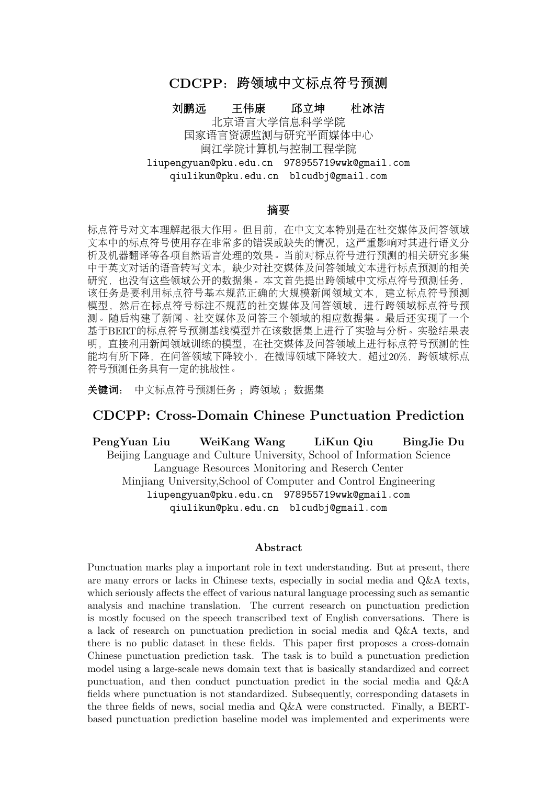<sup>型</sup>错误则多见于句号和问号之间,造成疑问和陈述语气混淆。有些自动预测的错误是OOV识<sup>别</sup> <sup>造</sup>成的,如例a中的第二组;有些预测错误较为明显,可能是人民日报语料中没有出现类似"<sup>考</sup> 不考"这样的上下文,如例c中的第1组;但更多的预测错误难以分析具体原因,通常需要对句子 <sup>意</sup>义的精细把握与理解。

# 6 相关工作

<sup>国</sup>际上标点符号预测或标点符号恢复任务的相关研究主要在语音识别领域。主要是基于<sup>机</sup> <sup>器</sup>学习或深度学习的方法,输入数据为听觉信息,文本信息或两者的结合。标点符号预测或<sup>任</sup> <sup>务</sup>的目前主流研究可按目标问题分为以下两类:

第一类是将该任务视为序列标注问题[\(Ueffing et al., 2013;](#page-0-0) [Zelasko et al., 2018](#page-0-0)), 模型要为 每一个位置指定一个标点符号(或无)。一些研究[\(Lu and Ng, 2010;](#page-0-0) [Ueffing et al., 2013;](#page-0-0) [Hasan](#page-0-0) [et al., 2015\)](#page-0-0)表明条件随机场 (CRF) 在标点符号预测任务上是比较有效的。近年来, 随着神经 网络的兴起, [Che et al. \(2016\)](#page-0-0)首先提出了一种基于卷积神经网络的模型来进行标点预测, 结果 表明, 基于神经网络的方法优于之前基于CRF的方法。Tilk and Alumäe (2015)基于长短时记忆 <sup>网</sup>络(LSTM)及带注意力机制的双向反馈神经网络模型(T-BRNN)进一步提高了标的符号预测<sup>的</sup> 性能。[Yi et al. \(2017\)](#page-0-0)利用双向LSTM结合CRF模型 (BiLSTM-CRF) 以及一个其上的集成模 <sup>型</sup>取得了基于序列标注方法目前的最佳性能。

第二类是将其视为单语机器翻译问题,源语言为不含有标点符号的文本,目标语为带标<sup>点</sup> 符号的文本[\(Peitz et al., 2011;](#page-0-0) [Driesen et al., 2014;](#page-0-0) [Cho et al., 2012\)](#page-0-0), 或目标语为标点符号序列 如[\(Klejch et al., 2016;](#page-0-0) [Klejch et al., 2017\)](#page-0-0),提出了一个带注意力机制的编码器解码器架构来<sup>解</sup> <sup>决</sup>标点符号预测。[Kim \(2019\)](#page-0-0)提出一种带逐层多头注意力的RNN网络进行标点符号预测,并<sup>取</sup> 得了仅使用词汇特征方法的最好性能。受自注意力机制[Vaswani et al. \(2017\)](#page-0-0)在NLP任务中有<sup>效</sup> <sup>性</sup>,[Yi and Tao \(2019\)](#page-0-0)提出了一个利用自注意力机制的神经网络模型,可同时在文本和声学<sup>的</sup> <sup>嵌</sup>入基础上利用自注意力来获得更好的表示。

<sup>还</sup>有学者引入其他相关任务来提升标点符号预测的性能,[Zhang et al. \(2013\)](#page-0-0)提出一种<sup>联</sup> <sup>合</sup>句法分析的标点符号预测方法,该方法能利用丰富的句法标注信息,取得了很好的效果。此 外,在训练CRF与神经网络时,由于词性信息可以作为有效提升标点符号标注性能的特征[Cho](#page-0-0) [et al. \(2015\)](#page-0-0), [Yi et al. \(2020\)](#page-0-0)提出了一种基于BERT的对抗多任务学习方法, 在标点符号预测 <sup>任</sup>务外,额外训练词性标注任务,两者进行对抗,最终在标点符号预测任务上取得了很好的<sup>性</sup> 能。

虽然有少数对越南语[\(Pham et al., 2019\)](#page-0-0)及中文[\(Zhao et al., 2012\)](#page-0-0)的相关研究, 以及^ 对中 <sup>文</sup>古文的古文断句研究如黄建年,侯汉<sup>清</sup> [\(2008\)](#page-0-0);张开旭,夏云庆,宇<sup>航</sup> [\(2009\)](#page-0-0);王博立[,](#page-0-0)<sup>史</sup> 晓东,苏劲松 [\(2017\)](#page-0-0)及俞敬松, O一, 张永伟 [\(2019\)](#page-0-0),。但大多数研究基本都集中在英语上。

<sup>绝</sup>大多数研究基于IWSLT数据集[\(Federico et al., 2012\)](#page-0-0)。该数据集语料来源于TED公开 <sup>演</sup>讲,主题十分广泛,转录质量很高。这个数据集经[Che et al. \(2016\)](#page-0-0)重新组织整理,训<sup>练</sup> 数据集来源于IWSLT2012英文翻译track, 约210万个单词, 14.4万个文本。开发集约29.6万 个单词,2.1万个文本。有两个测试集及Ref和ASR,来源于IWSLT2011,包含约1.3万个单 <sup>词</sup>,860个文本。数据集中有逗号、句号和问号三种标点符号,以及一个非标点标记"O"。

# 7 结论

<sup>本</sup>文提出一个领域迁移的标点恢复/标注任务,标注了一个包含问答领域,微博短文本和微 <sup>博</sup>长文本领域的测试集集合,并给定人民日报语料作为验证集。我们给出一个基于预训练语言 模型bert的基线模型,并使用focal loss来缓解标签不均衡问题。该模型在人民日报上进行训<sup>练</sup> <sup>并</sup>在本数据集上进行了验证。在此基础上,向问答及微博两个领域进行迁移。实验结果表明, <sup>向</sup>问答领域的迁移效果较好,但是向社交媒体(微博)领域的迁移效果较差,且比源领域下<sup>降</sup> <sup>了</sup>20%。我们进一步对模型自动标注的结果进行了分析,发现漏标、多标与类型错误这几种<sup>错</sup> <sup>误</sup>的分布较为均衡;从领域比较来看,微博更容易多标,问答更容易漏标。有些自动标注的<sup>错</sup> 误确实需要比较敏感的语感才能辨别。总体来说, 跨领域标点符号迁移任务具有一定挑战性, 特别是向微博领域迁移,各模型在这个任务上还有较大的提升空间,未来可以利用各种迁移<sup>学</sup> <sup>习</sup>或多任务学习的方法来尝试解决。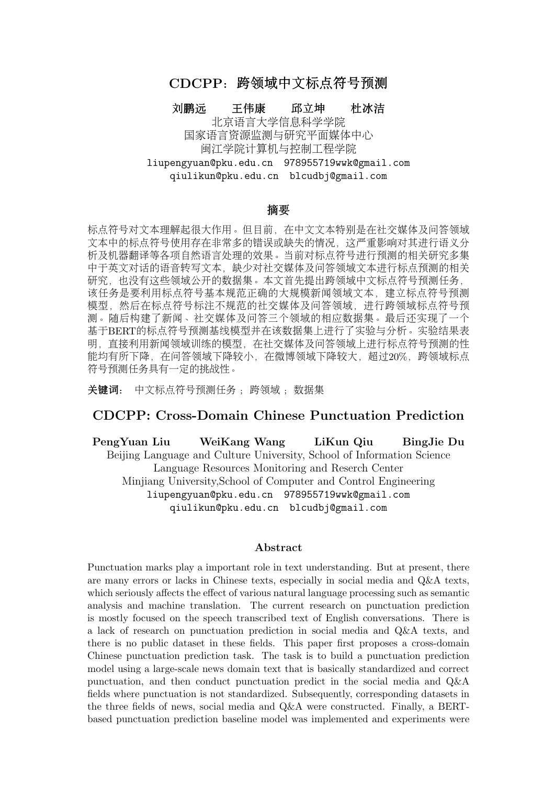# 致谢

<sup>本</sup>文受北京市自然科学基金资助项目(4192057)资助。感谢匿名评阅人的建议。

# 参考文献

- Doug Beeferman, Adam Berger, and John Lafferty. 1998. Cyberpunc: A lightweight punctuation annotation system for speech. In Proceedings of the 1998 IEEE International Conference on Acoustics, Speech and Signal Processing, ICASSP'98 (Cat. No. 98CH36181), volume 2, pages 689–692. IEEE.
- Xiaoyin Che, Cheng Wang, Haojin Yang, and Christoph Meinel. 2016. Punctuation prediction for unsegmented transcript based on word vector. In Proceedings of the Tenth International Conference on Language Resources and Evaluation (LREC'16), pages 654–658.
- Eunah Cho, Jan Niehues, and Alex Waibel. 2012. Segmentation and punctuation prediction in speech language translation using a monolingual translation system. In *International Workshop on Spoken* Language Translation (IWSLT) 2012.
- Eunah Cho, Kevin Kilgour, Jan Niehues, and Alex Waibel. 2015. Combination of nn and crf models for joint detection of punctuation and disfluencies. In Sixteenth annual conference of the international speech communication association.
- Jacob Devlin, Ming-Wei Chang, Kenton Lee, and Kristina Toutanova. 2018. BERT: pre-training of deep bidirectional transformers for language understanding. CoRR, abs/1810.04805.
- Joris Driesen, Alexandra Birch, Simon Grimsey, Saeid Safarfashandi, Juliet Gauthier, Matt Simpson, and Steve Renals. 2014. Automated production of true-cased punctuated subtitles for weather and news broadcasts. In Fifteenth Annual Conference of the International Speech Communication Association.
- Marcello Federico, Mauro Cettolo, Luisa Bentivogli, Paul Michael, and Stüker Sebastian. 2012. Overview of the iwslt 2012 evaluation campaign. In IWSLT-International Workshop on Spoken Language Translation, pages 12–33.
- Madina Hasan, Rama Doddipatla, and Thomas Hain. 2015. Noise-matched training of crf based sentence end detection models. In Sixteenth Annual Conference of the International Speech Communication Association.
- Seokhwan Kim. 2019. Deep recurrent neural networks with layer-wise multi-head attentions for punctuation restoration. In ICASSP 2019-2019 IEEE International Conference on Acoustics, Speech and Signal Processing (ICASSP), pages 7280–7284. IEEE.
- Ondřej Klejch, Peter Bell, and Steve Renals. 2016. Punctuated transcription of multi-genre broadcasts using acoustic and lexical approaches. In 2016 IEEE Spoken Language Technology Workshop (SLT), pages 433–440. IEEE.
- Ondřej Klejch, Peter Bell, and Steve Renals. 2017. Sequence-to-sequence models for punctuated transcription combining lexical and acoustic features. In 2017 IEEE International Conference on Acoustics, Speech and Signal Processing (ICASSP), pages 5700–5704. IEEE.
- Tsung-Yi Lin, Priya Goyal, Ross Girshick, Kaiming He, and Piotr Dollár. 2017. Focal Loss for Dense Object Detection. arXiv e-prints, page arXiv:1708.02002, August.
- Yang Liu, Elizabeth Shriberg, Andreas Stolcke, Dustin Hillard, Mari Ostendorf, and Mary Harper. 2006. Enriching speech recognition with automatic detection of sentence boundaries and disfluencies. IEEE Transactions on audio, speech, and language processing, 14(5):1526–1540.
- Xin Liu, Qingcai Chen, Chong Deng, Huajun Zeng, Jing Chen, Dongfang Li, and Buzhou Tang. 2018. LCQMC:a large-scale Chinese question matching corpus. In Proceedings of the 27th International Conference on Computational Linguistics, August.
- Wei Lu and Hwee Tou Ng. 2010. Better punctuation prediction with dynamic conditional random fields. In Proceedings of the 2010 conference on empirical methods in natural language processing, pages 177–186.